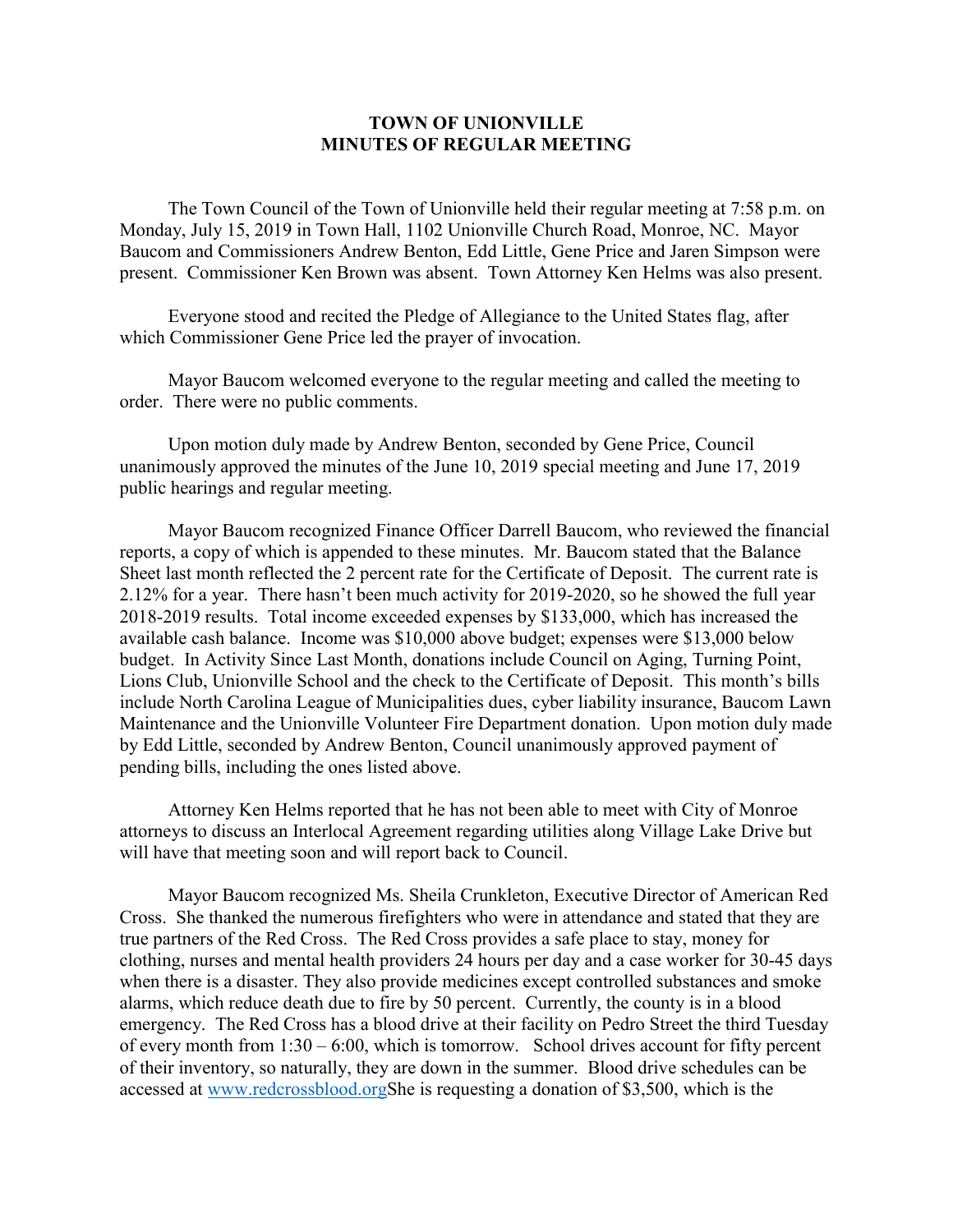## **TOWN OF UNIONVILLE MINUTES OF REGULAR MEETING**

The Town Council of the Town of Unionville held their regular meeting at 7:58 p.m. on Monday, July 15, 2019 in Town Hall, 1102 Unionville Church Road, Monroe, NC. Mayor Baucom and Commissioners Andrew Benton, Edd Little, Gene Price and Jaren Simpson were present. Commissioner Ken Brown was absent. Town Attorney Ken Helms was also present.

Everyone stood and recited the Pledge of Allegiance to the United States flag, after which Commissioner Gene Price led the prayer of invocation.

Mayor Baucom welcomed everyone to the regular meeting and called the meeting to order. There were no public comments.

Upon motion duly made by Andrew Benton, seconded by Gene Price, Council unanimously approved the minutes of the June 10, 2019 special meeting and June 17, 2019 public hearings and regular meeting.

Mayor Baucom recognized Finance Officer Darrell Baucom, who reviewed the financial reports, a copy of which is appended to these minutes. Mr. Baucom stated that the Balance Sheet last month reflected the 2 percent rate for the Certificate of Deposit. The current rate is 2.12% for a year. There hasn't been much activity for 2019-2020, so he showed the full year 2018-2019 results. Total income exceeded expenses by \$133,000, which has increased the available cash balance. Income was \$10,000 above budget; expenses were \$13,000 below budget. In Activity Since Last Month, donations include Council on Aging, Turning Point, Lions Club, Unionville School and the check to the Certificate of Deposit. This month's bills include North Carolina League of Municipalities dues, cyber liability insurance, Baucom Lawn Maintenance and the Unionville Volunteer Fire Department donation. Upon motion duly made by Edd Little, seconded by Andrew Benton, Council unanimously approved payment of pending bills, including the ones listed above.

Attorney Ken Helms reported that he has not been able to meet with City of Monroe attorneys to discuss an Interlocal Agreement regarding utilities along Village Lake Drive but will have that meeting soon and will report back to Council.

Mayor Baucom recognized Ms. Sheila Crunkleton, Executive Director of American Red Cross. She thanked the numerous firefighters who were in attendance and stated that they are true partners of the Red Cross. The Red Cross provides a safe place to stay, money for clothing, nurses and mental health providers 24 hours per day and a case worker for 30-45 days when there is a disaster. They also provide medicines except controlled substances and smoke alarms, which reduce death due to fire by 50 percent. Currently, the county is in a blood emergency. The Red Cross has a blood drive at their facility on Pedro Street the third Tuesday of every month from  $1:30 - 6:00$ , which is tomorrow. School drives account for fifty percent of their inventory, so naturally, they are down in the summer. Blood drive schedules can be accessed at [www.redcrossblood.orgS](http://www.redcrossblood.org/)he is requesting a donation of \$3,500, which is the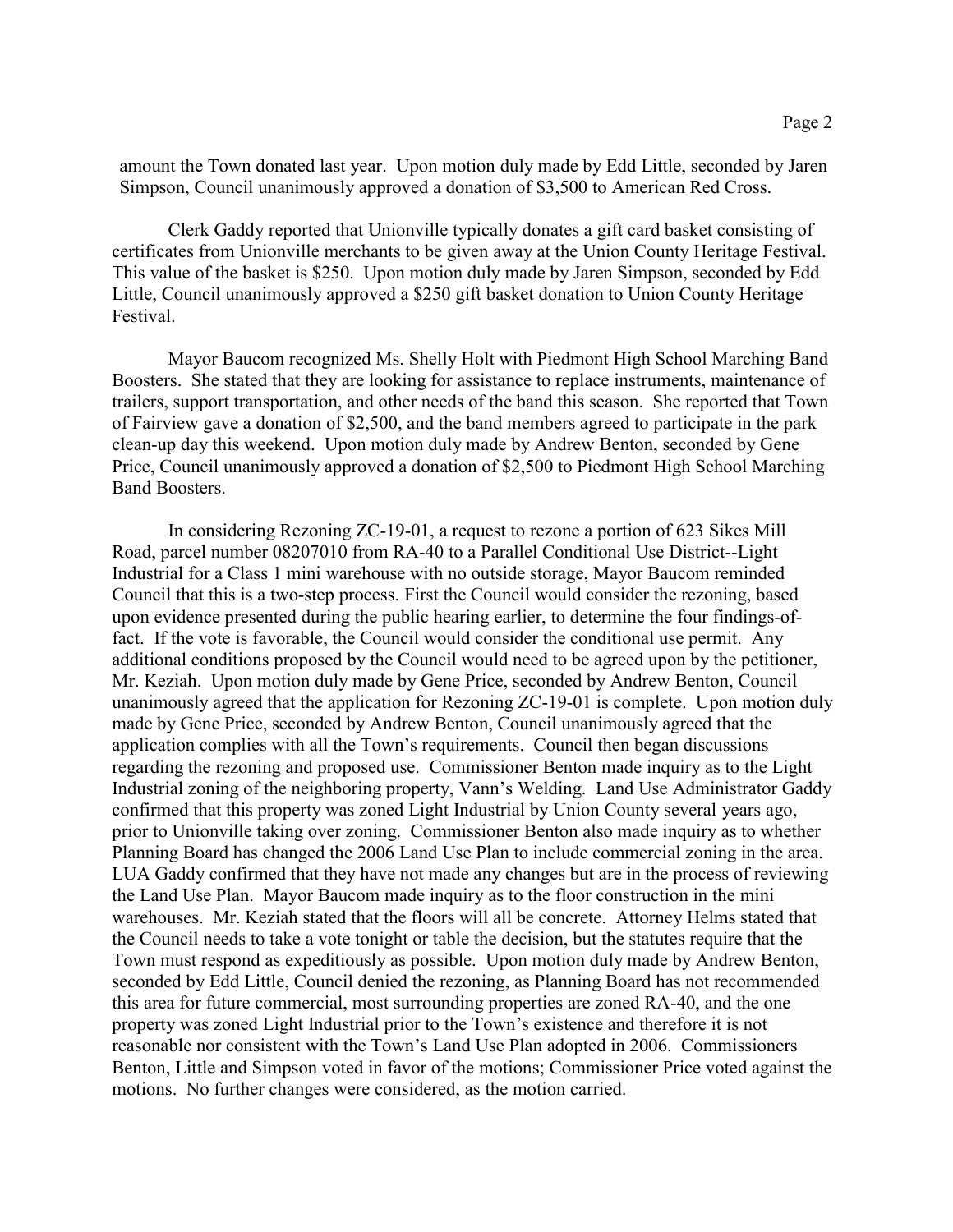amount the Town donated last year. Upon motion duly made by Edd Little, seconded by Jaren Simpson, Council unanimously approved a donation of \$3,500 to American Red Cross.

Clerk Gaddy reported that Unionville typically donates a gift card basket consisting of certificates from Unionville merchants to be given away at the Union County Heritage Festival. This value of the basket is \$250. Upon motion duly made by Jaren Simpson, seconded by Edd Little, Council unanimously approved a \$250 gift basket donation to Union County Heritage Festival.

Mayor Baucom recognized Ms. Shelly Holt with Piedmont High School Marching Band Boosters. She stated that they are looking for assistance to replace instruments, maintenance of trailers, support transportation, and other needs of the band this season. She reported that Town of Fairview gave a donation of \$2,500, and the band members agreed to participate in the park clean-up day this weekend. Upon motion duly made by Andrew Benton, seconded by Gene Price, Council unanimously approved a donation of \$2,500 to Piedmont High School Marching Band Boosters.

In considering Rezoning ZC-19-01, a request to rezone a portion of 623 Sikes Mill Road, parcel number 08207010 from RA-40 to a Parallel Conditional Use District--Light Industrial for a Class 1 mini warehouse with no outside storage, Mayor Baucom reminded Council that this is a two-step process. First the Council would consider the rezoning, based upon evidence presented during the public hearing earlier, to determine the four findings-offact. If the vote is favorable, the Council would consider the conditional use permit. Any additional conditions proposed by the Council would need to be agreed upon by the petitioner, Mr. Keziah. Upon motion duly made by Gene Price, seconded by Andrew Benton, Council unanimously agreed that the application for Rezoning ZC-19-01 is complete. Upon motion duly made by Gene Price, seconded by Andrew Benton, Council unanimously agreed that the application complies with all the Town's requirements. Council then began discussions regarding the rezoning and proposed use. Commissioner Benton made inquiry as to the Light Industrial zoning of the neighboring property, Vann's Welding. Land Use Administrator Gaddy confirmed that this property was zoned Light Industrial by Union County several years ago, prior to Unionville taking over zoning. Commissioner Benton also made inquiry as to whether Planning Board has changed the 2006 Land Use Plan to include commercial zoning in the area. LUA Gaddy confirmed that they have not made any changes but are in the process of reviewing the Land Use Plan. Mayor Baucom made inquiry as to the floor construction in the mini warehouses. Mr. Keziah stated that the floors will all be concrete. Attorney Helms stated that the Council needs to take a vote tonight or table the decision, but the statutes require that the Town must respond as expeditiously as possible. Upon motion duly made by Andrew Benton, seconded by Edd Little, Council denied the rezoning, as Planning Board has not recommended this area for future commercial, most surrounding properties are zoned RA-40, and the one property was zoned Light Industrial prior to the Town's existence and therefore it is not reasonable nor consistent with the Town's Land Use Plan adopted in 2006. Commissioners Benton, Little and Simpson voted in favor of the motions; Commissioner Price voted against the motions. No further changes were considered, as the motion carried.